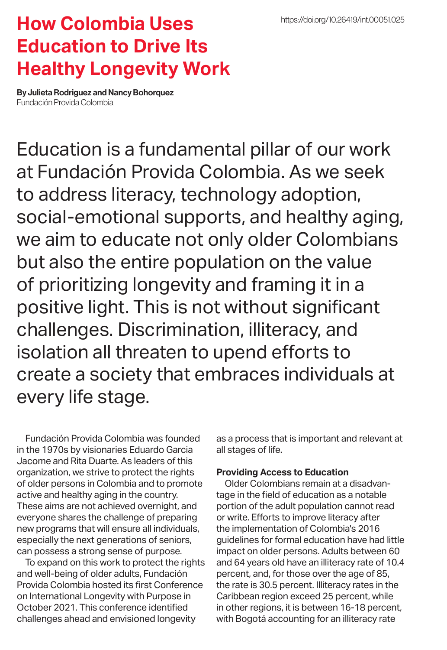## **How Colombia Uses Education to Drive Its Healthy Longevity Work**

By Julieta Rodriguez and Nancy Bohorquez Fundación Provida Colombia

Education is a fundamental pillar of our work at Fundación Provida Colombia. As we seek to address literacy, technology adoption, social-emotional supports, and healthy aging, we aim to educate not only older Colombians but also the entire population on the value of prioritizing longevity and framing it in a positive light. This is not without significant challenges. Discrimination, illiteracy, and isolation all threaten to upend efforts to create a society that embraces individuals at every life stage.

Fundación Provida Colombia was founded in the 1970s by visionaries Eduardo Garcia Jacome and Rita Duarte. As leaders of this organization, we strive to protect the rights of older persons in Colombia and to promote active and healthy aging in the country. These aims are not achieved overnight, and everyone shares the challenge of preparing new programs that will ensure all individuals, especially the next generations of seniors, can possess a strong sense of purpose.

To expand on this work to protect the rights and well-being of older adults, Fundación Provida Colombia hosted its first Conference on International Longevity with Purpose in October 2021. This conference identified challenges ahead and envisioned longevity

as a process that is important and relevant at all stages of life.

## **Providing Access to Education**

Older Colombians remain at a disadvantage in the field of education as a notable portion of the adult population cannot read or write. Efforts to improve literacy after the implementation of Colombia's 2016 guidelines for formal education have had little impact on older persons. Adults between 60 and 64 years old have an illiteracy rate of 10.4 percent, and, for those over the age of 85, the rate is 30.5 percent. Illiteracy rates in the Caribbean region exceed 25 percent, while in other regions, it is between 16-18 percent, with Bogotá accounting for an illiteracy rate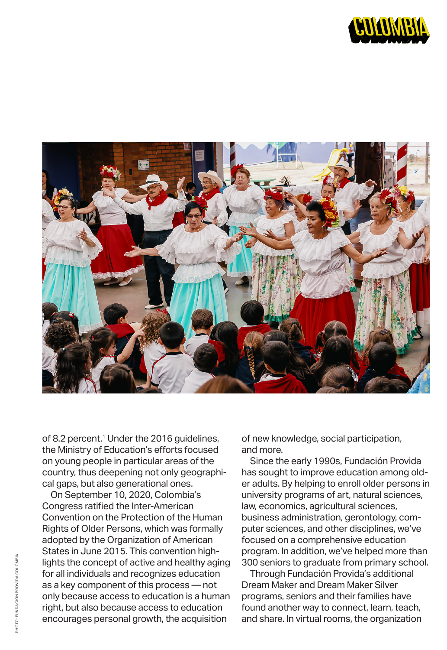



of 8.2 percent.<sup>1</sup> Under the 2016 guidelines, the Ministry of Education's efforts focused on young people in particular areas of the country, thus deepening not only geographical gaps, but also generational ones.

On September 10, 2020, Colombia's Congress ratified the Inter-American Convention on the Protection of the Human Rights of Older Persons, which was formally adopted by the Organization of American States in June 2015. This convention highlights the concept of active and healthy aging for all individuals and recognizes education as a key component of this process — not only because access to education is a human right, but also because access to education encourages personal growth, the acquisition

of new knowledge, social participation, and more.

Since the early 1990s, Fundación Provida has sought to improve education among older adults. By helping to enroll older persons in university programs of art, natural sciences, law, economics, agricultural sciences, business administration, gerontology, computer sciences, and other disciplines, we've focused on a comprehensive education program. In addition, we've helped more than 300 seniors to graduate from primary school.

Through Fundación Provida's additional Dream Maker and Dream Maker Silver programs, seniors and their families have found another way to connect, learn, teach, and share. In virtual rooms, the organization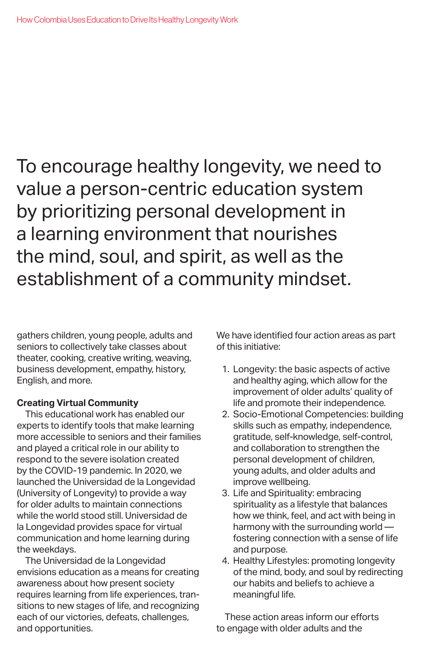To encourage healthy longevity, we need to value a person-centric education system by prioritizing personal development in a learning environment that nourishes the mind, soul, and spirit, as well as the establishment of a community mindset.

gathers children, young people, adults and seniors to collectively take classes about theater, cooking, creative writing, weaving, business development, empathy, history, English, and more.

## **Creating Virtual Community**

This educational work has enabled our experts to identify tools that make learning more accessible to seniors and their families and played a critical role in our ability to respond to the severe isolation created by the COVID-19 pandemic. In 2020, we launched the Universidad de la Longevidad (University of Longevity) to provide a way for older adults to maintain connections while the world stood still. Universidad de la Longevidad provides space for virtual communication and home learning during the weekdays.

The Universidad de la Longevidad envisions education as a means for creating awareness about how present society requires learning from life experiences, transitions to new stages of life, and recognizing each of our victories, defeats, challenges, and opportunities.

We have identified four action areas as part of this initiative:

- 1. Longevity: the basic aspects of active and healthy aging, which allow for the improvement of older adults' quality of life and promote their independence.
- 2. Socio-Emotional Competencies: building skills such as empathy, independence, gratitude, self-knowledge, self-control, and collaboration to strengthen the personal development of children, young adults, and older adults and improve wellbeing.
- 3. Life and Spirituality: embracing spirituality as a lifestyle that balances how we think, feel, and act with being in harmony with the surrounding world fostering connection with a sense of life and purpose.
- 4. Healthy Lifestyles: promoting longevity of the mind, body, and soul by redirecting our habits and beliefs to achieve a meaningful life.

These action areas inform our efforts to engage with older adults and the